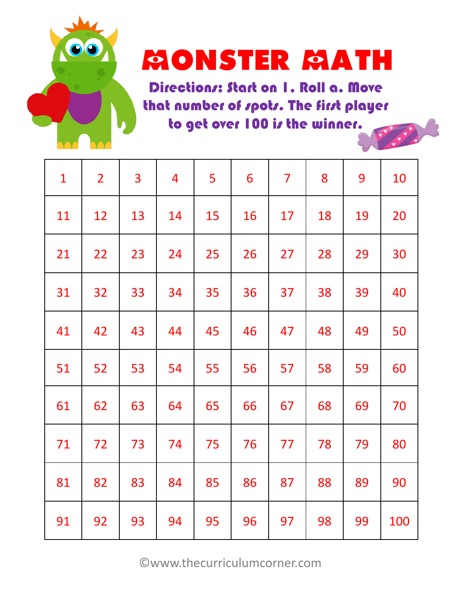

### **MONSTER MATH**

Directions: Start on 1. Roll a. Move that number of spots. The first player to get over 100 is the winner.

| 1  | $\overline{2}$ | 3  | 4  | 5  | 6  | 7  | 8  | 9  | 10  |
|----|----------------|----|----|----|----|----|----|----|-----|
| 11 | 12             | 13 | 14 | 15 | 16 | 17 | 18 | 19 | 20  |
| 21 | 22             | 23 | 24 | 25 | 26 | 27 | 28 | 29 | 30  |
| 31 | 32             | 33 | 34 | 35 | 36 | 37 | 38 | 39 | 40  |
| 41 | 42             | 43 | 44 | 45 | 46 | 47 | 48 | 49 | 50  |
| 51 | 52             | 53 | 54 | 55 | 56 | 57 | 58 | 59 | 60  |
| 61 | 62             | 63 | 64 | 65 | 66 | 67 | 68 | 69 | 70  |
| 71 | 72             | 73 | 74 | 75 | 76 | 77 | 78 | 79 | 80  |
| 81 | 82             | 83 | 84 | 85 | 86 | 87 | 88 | 89 | 90  |
| 91 | 92             | 93 | 94 | 95 | 96 | 97 | 98 | 99 | 100 |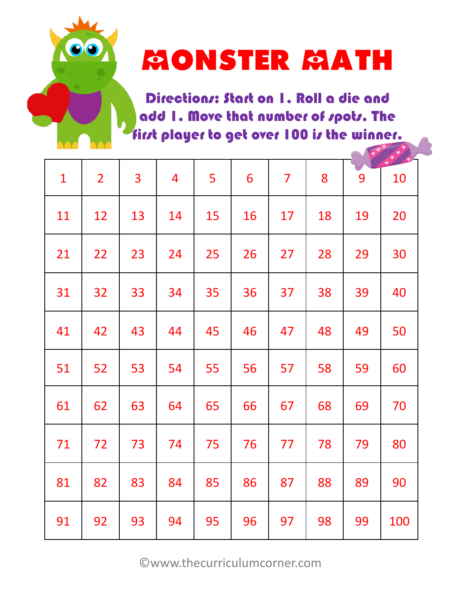

### **MONSTER MATH**

Directions: Start on 1. Roll a die and add 1. Move that number of spots. The first player to get over 100 is the winner.

| 1  | $\overline{2}$ | 3  | 4  | 5  | 6  | 7  | 8  | 9  | 10  |
|----|----------------|----|----|----|----|----|----|----|-----|
| 11 | 12             | 13 | 14 | 15 | 16 | 17 | 18 | 19 | 20  |
| 21 | 22             | 23 | 24 | 25 | 26 | 27 | 28 | 29 | 30  |
| 31 | 32             | 33 | 34 | 35 | 36 | 37 | 38 | 39 | 40  |
| 41 | 42             | 43 | 44 | 45 | 46 | 47 | 48 | 49 | 50  |
| 51 | 52             | 53 | 54 | 55 | 56 | 57 | 58 | 59 | 60  |
| 61 | 62             | 63 | 64 | 65 | 66 | 67 | 68 | 69 | 70  |
| 71 | 72             | 73 | 74 | 75 | 76 | 77 | 78 | 79 | 80  |
| 81 | 82             | 83 | 84 | 85 | 86 | 87 | 88 | 89 | 90  |
| 91 | 92             | 93 | 94 | 95 | 96 | 97 | 98 | 99 | 100 |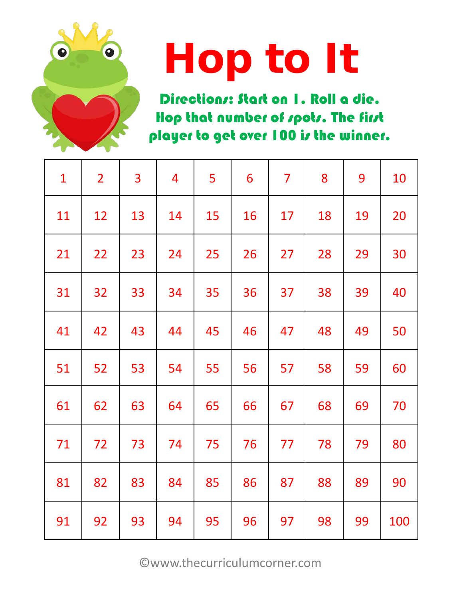

# Hop to It

Directions: Start on I. Roll a die. Hop that number of spots. The first player to get over 100 is the winner.

| $\mathbf{1}$ | $\overline{2}$ | 3  | 4  | 5  | 6  | $\overline{\mathbf{7}}$ | 8  | 9  | 10  |
|--------------|----------------|----|----|----|----|-------------------------|----|----|-----|
| 11           | 12             | 13 | 14 | 15 | 16 | 17                      | 18 | 19 | 20  |
| 21           | 22             | 23 | 24 | 25 | 26 | 27                      | 28 | 29 | 30  |
| 31           | 32             | 33 | 34 | 35 | 36 | 37                      | 38 | 39 | 40  |
| 41           | 42             | 43 | 44 | 45 | 46 | 47                      | 48 | 49 | 50  |
| 51           | 52             | 53 | 54 | 55 | 56 | 57                      | 58 | 59 | 60  |
| 61           | 62             | 63 | 64 | 65 | 66 | 67                      | 68 | 69 | 70  |
| 71           | 72             | 73 | 74 | 75 | 76 | 77                      | 78 | 79 | 80  |
| 81           | 82             | 83 | 84 | 85 | 86 | 87                      | 88 | 89 | 90  |
| 91           | 92             | 93 | 94 | 95 | 96 | 97                      | 98 | 99 | 100 |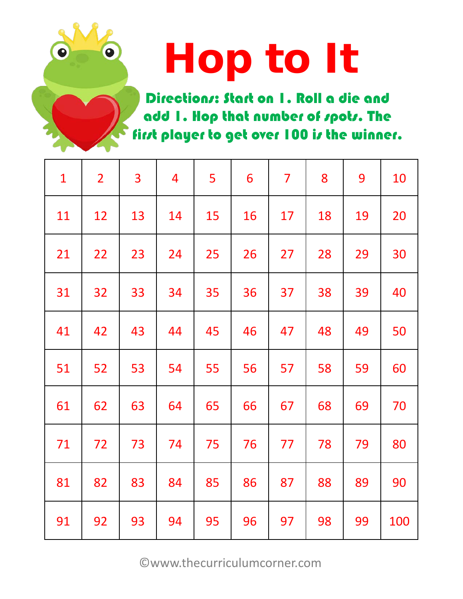# Hop to It

Directions: Start on 1. Roll a die and add 1. Hop that number of spots. The first player to get over 100 is the winner.

| $\mathbf{1}$ | $\overline{2}$ | 3  | $\overline{4}$ | 5  | 6  | $\overline{\mathbf{7}}$ | 8  | 9  | 10  |
|--------------|----------------|----|----------------|----|----|-------------------------|----|----|-----|
| 11           | 12             | 13 | 14             | 15 | 16 | 17                      | 18 | 19 | 20  |
| 21           | 22             | 23 | 24             | 25 | 26 | 27                      | 28 | 29 | 30  |
| 31           | 32             | 33 | 34             | 35 | 36 | 37                      | 38 | 39 | 40  |
| 41           | 42             | 43 | 44             | 45 | 46 | 47                      | 48 | 49 | 50  |
| 51           | 52             | 53 | 54             | 55 | 56 | 57                      | 58 | 59 | 60  |
| 61           | 62             | 63 | 64             | 65 | 66 | 67                      | 68 | 69 | 70  |
| 71           | 72             | 73 | 74             | 75 | 76 | 77                      | 78 | 79 | 80  |
| 81           | 82             | 83 | 84             | 85 | 86 | 87                      | 88 | 89 | 90  |
| 91           | 92             | 93 | 94             | 95 | 96 | 97                      | 98 | 99 | 100 |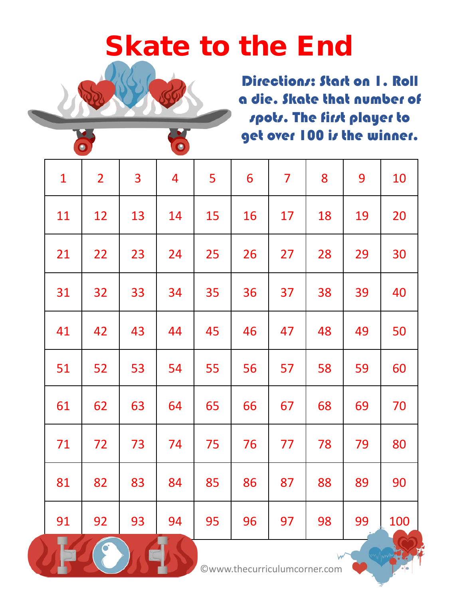#### Skate to the End

Directions: Start on I. Roll a die. Skate that number of spots. The first player to get over 100 is the winner.

| $\mathbf{1}$         | $\overline{2}$ | 3  | 4  | 5  | 6  | 7  | 8  | 9  | 10  |
|----------------------|----------------|----|----|----|----|----|----|----|-----|
| 11                   | 12             | 13 | 14 | 15 | 16 | 17 | 18 | 19 | 20  |
| 21                   | 22             | 23 | 24 | 25 | 26 | 27 | 28 | 29 | 30  |
| 31                   | 32             | 33 | 34 | 35 | 36 | 37 | 38 | 39 | 40  |
| 41                   | 42             | 43 | 44 | 45 | 46 | 47 | 48 | 49 | 50  |
| 51                   | 52             | 53 | 54 | 55 | 56 | 57 | 58 | 59 | 60  |
| 61                   | 62             | 63 | 64 | 65 | 66 | 67 | 68 | 69 | 70  |
| 71                   | 72             | 73 | 74 | 75 | 76 | 77 | 78 | 79 | 80  |
| 81                   | 82             | 83 | 84 | 85 | 86 | 87 | 88 | 89 | 90  |
| 91<br>$\blacksquare$ | 92             | 93 | 94 | 95 | 96 | 97 | 98 | 99 | 100 |